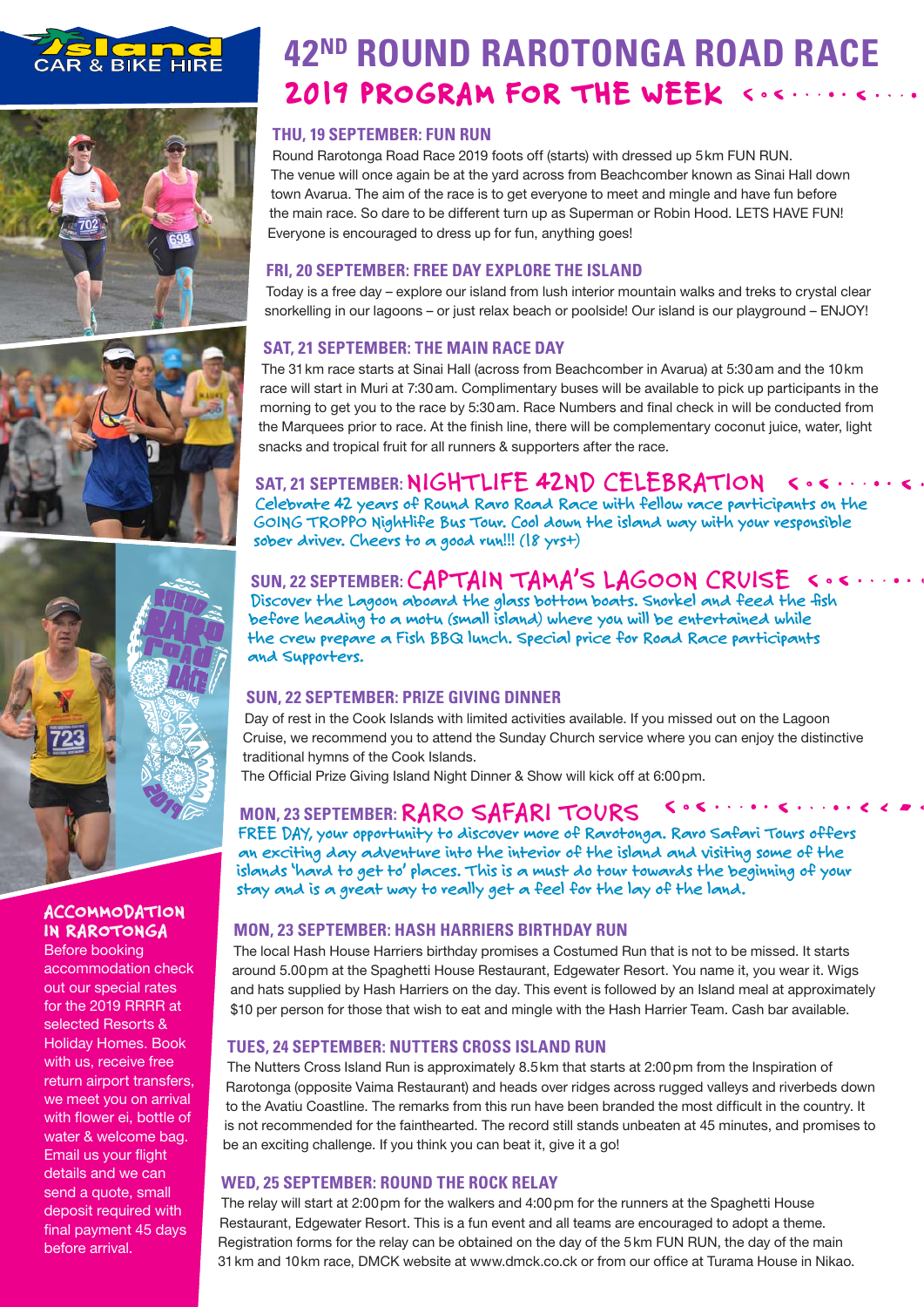







# ACCOMMODATION IN RAROTONGA

Before booking accommodation check out our special rates for the 2019 RRRR at selected Resorts & Holiday Homes. Book with us, receive free return airport transfers, we meet you on arrival with flower ei, bottle of water & welcome bag. Email us your flight details and we can send a quote, small deposit required with final payment 45 days before arrival.

# **42ND ROUND RAROTONGA ROAD RACE** 2019 PROGRAM FOR THE WEEK < .<.

# **THU, 19 SEPTEMBER: FUN RUN**

Round Rarotonga Road Race 2019 foots off (starts) with dressed up 5km FUN RUN. The venue will once again be at the yard across from Beachcomber known as Sinai Hall down town Avarua. The aim of the race is to get everyone to meet and mingle and have fun before the main race. So dare to be different turn up as Superman or Robin Hood. LETS HAVE FUN! Everyone is encouraged to dress up for fun, anything goes!

# **FRI, 20 SEPTEMBER: FREE DAY EXPLORE THE ISLAND**

Today is a free day – explore our island from lush interior mountain walks and treks to crystal clear snorkelling in our lagoons – or just relax beach or poolside! Our island is our playground – ENJOY!

# **SAT, 21 SEPTEMBER: THE MAIN RACE DAY**

The 31km race starts at Sinai Hall (across from Beachcomber in Avarua) at 5:30am and the 10km race will start in Muri at 7:30am. Complimentary buses will be available to pick up participants in the morning to get you to the race by 5:30am. Race Numbers and final check in will be conducted from the Marquees prior to race. At the finish line, there will be complementary coconut juice, water, light snacks and tropical fruit for all runners & supporters after the race.

#### **SAT, 21 SEPTEMBER: NIGHTLIFE 42ND CELEBRATION**  $\langle \cdot, \cdot \rangle$

**Celebrate 42 years of Round Raro Road Race with fellow race participants on the GOING TROPPO Nightlife Bus Tour. Cool down the island way with your responsible sober driver. Cheers to a good run!!! (18 yrs+)**

# **SUN, 22 SEPTEMBER: CAPTAIN TAMA'S LAGOON CRUISE**

**Discover the Lagoon aboard the glass bottom boats. Snorkel and feed the fish before heading to a motu (small island) where you will be entertained while the crew prepare a Fish BBQ lunch. Special price for Road Race participants and Supporters.** 

## **SUN, 22 SEPTEMBER: PRIZE GIVING DINNER**

Day of rest in the Cook Islands with limited activities available. If you missed out on the Lagoon Cruise, we recommend you to attend the Sunday Church service where you can enjoy the distinctive traditional hymns of the Cook Islands.

The Official Prize Giving Island Night Dinner & Show will kick off at 6:00pm.

# **MON, 23 SEPTEMBER: RARO SAFARI TOURS**

**FREE DAY, your opportunity to discover more of Rarotonga. Raro Safari Tours offers an exciting day adventure into the interior of the island and visiting some of the islands 'hard to get to' places. This is a must do tour towards the beginning of your stay and is a great way to really get a feel for the lay of the land.** 

## **MON, 23 SEPTEMBER: HASH HARRIERS BIRTHDAY RUN**

The local Hash House Harriers birthday promises a Costumed Run that is not to be missed. It starts around 5.00pm at the Spaghetti House Restaurant, Edgewater Resort. You name it, you wear it. Wigs and hats supplied by Hash Harriers on the day. This event is followed by an Island meal at approximately \$10 per person for those that wish to eat and mingle with the Hash Harrier Team. Cash bar available.

## **TUES, 24 SEPTEMBER: NUTTERS CROSS ISLAND RUN**

The Nutters Cross Island Run is approximately 8.5km that starts at 2:00pm from the Inspiration of Rarotonga (opposite Vaima Restaurant) and heads over ridges across rugged valleys and riverbeds down to the Avatiu Coastline. The remarks from this run have been branded the most difficult in the country. It is not recommended for the fainthearted. The record still stands unbeaten at 45 minutes, and promises to be an exciting challenge. If you think you can beat it, give it a go!

## **WED, 25 SEPTEMBER: ROUND THE ROCK RELAY**

The relay will start at 2:00pm for the walkers and 4:00pm for the runners at the Spaghetti House Restaurant, Edgewater Resort. This is a fun event and all teams are encouraged to adopt a theme. Registration forms for the relay can be obtained on the day of the 5km FUN RUN, the day of the main 31km and 10km race, DMCK website at www.dmck.co.ck or from our office at Turama House in Nikao.